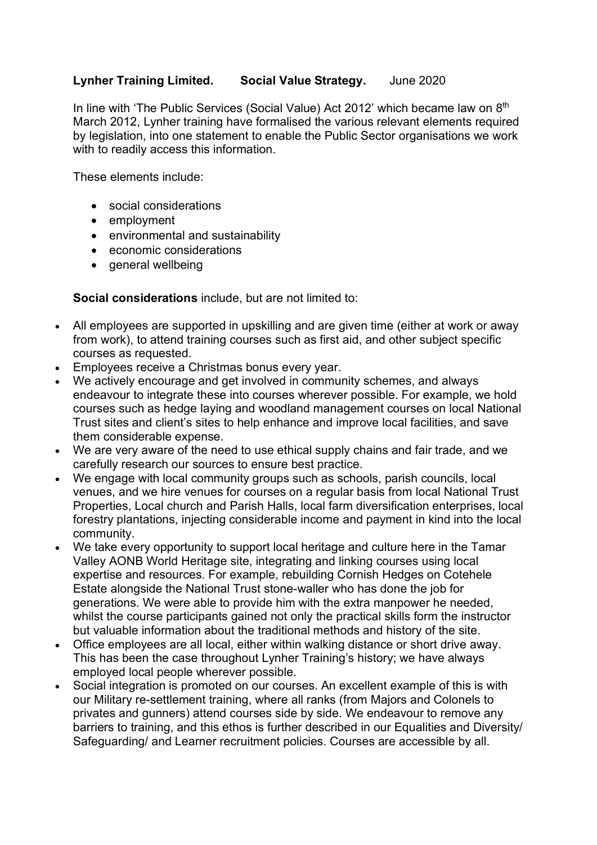# **Lynher Training Limited. Social Value Strategy.** June 2020

In line with 'The Public Services (Social Value) Act 2012' which became law on 8<sup>th</sup> March 2012, Lynher training have formalised the various relevant elements required by legislation, into one statement to enable the Public Sector organisations we work with to readily access this information.

These elements include:

- social considerations
- employment
- environmental and sustainability
- economic considerations
- general wellbeing

### **Social considerations** include, but are not limited to:

- All employees are supported in upskilling and are given time (either at work or away from work), to attend training courses such as first aid, and other subject specific courses as requested.
- Employees receive a Christmas bonus every year.
- We actively encourage and get involved in community schemes, and always endeavour to integrate these into courses wherever possible. For example, we hold courses such as hedge laying and woodland management courses on local National Trust sites and client's sites to help enhance and improve local facilities, and save them considerable expense.
- We are very aware of the need to use ethical supply chains and fair trade, and we carefully research our sources to ensure best practice.
- We engage with local community groups such as schools, parish councils, local venues, and we hire venues for courses on a regular basis from local National Trust Properties, Local church and Parish Halls, local farm diversification enterprises, local forestry plantations, injecting considerable income and payment in kind into the local community.
- We take every opportunity to support local heritage and culture here in the Tamar Valley AONB World Heritage site, integrating and linking courses using local expertise and resources. For example, rebuilding Cornish Hedges on Cotehele Estate alongside the National Trust stone-waller who has done the job for generations. We were able to provide him with the extra manpower he needed, whilst the course participants gained not only the practical skills form the instructor but valuable information about the traditional methods and history of the site.
- Office employees are all local, either within walking distance or short drive away. This has been the case throughout Lynher Training's history; we have always employed local people wherever possible.
- Social integration is promoted on our courses. An excellent example of this is with our Military re-settlement training, where all ranks (from Majors and Colonels to privates and gunners) attend courses side by side. We endeavour to remove any barriers to training, and this ethos is further described in our Equalities and Diversity/ Safeguarding/ and Learner recruitment policies. Courses are accessible by all.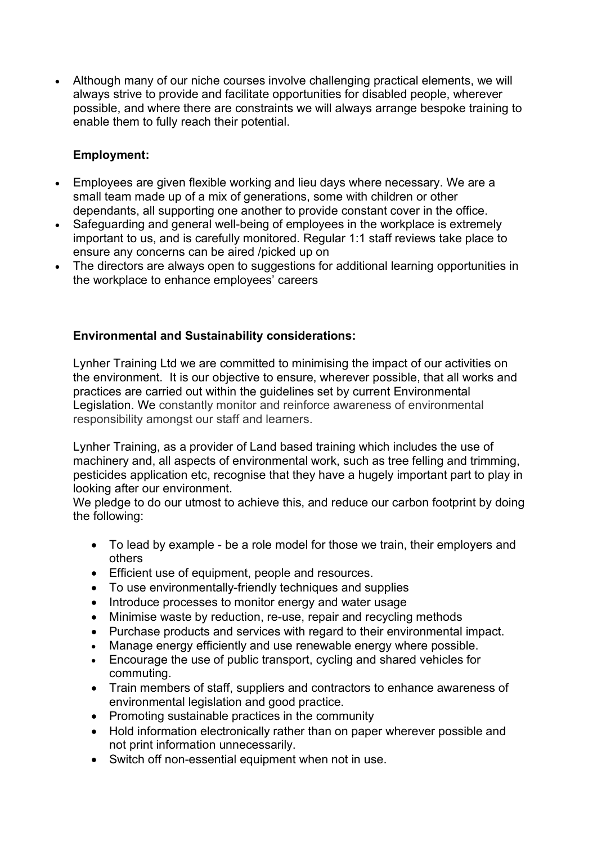• Although many of our niche courses involve challenging practical elements, we will always strive to provide and facilitate opportunities for disabled people, wherever possible, and where there are constraints we will always arrange bespoke training to enable them to fully reach their potential.

# **Employment:**

- Employees are given flexible working and lieu days where necessary. We are a small team made up of a mix of generations, some with children or other dependants, all supporting one another to provide constant cover in the office.
- Safeguarding and general well-being of employees in the workplace is extremely important to us, and is carefully monitored. Regular 1:1 staff reviews take place to ensure any concerns can be aired /picked up on
- The directors are always open to suggestions for additional learning opportunities in the workplace to enhance employees' careers

# **Environmental and Sustainability considerations:**

Lynher Training Ltd we are committed to minimising the impact of our activities on the environment. It is our objective to ensure, wherever possible, that all works and practices are carried out within the guidelines set by current Environmental Legislation. We constantly monitor and reinforce awareness of environmental responsibility amongst our staff and learners.

Lynher Training, as a provider of Land based training which includes the use of machinery and, all aspects of environmental work, such as tree felling and trimming, pesticides application etc, recognise that they have a hugely important part to play in looking after our environment.

We pledge to do our utmost to achieve this, and reduce our carbon footprint by doing the following:

- To lead by example be a role model for those we train, their employers and others
- Efficient use of equipment, people and resources.
- To use environmentally-friendly techniques and supplies
- Introduce processes to monitor energy and water usage
- Minimise waste by reduction, re-use, repair and recycling methods
- Purchase products and services with regard to their environmental impact.
- Manage energy efficiently and use renewable energy where possible.
- Encourage the use of public transport, cycling and shared vehicles for commuting.
- Train members of staff, suppliers and contractors to enhance awareness of environmental legislation and good practice.
- Promoting sustainable practices in the community
- Hold information electronically rather than on paper wherever possible and not print information unnecessarily.
- Switch off non-essential equipment when not in use.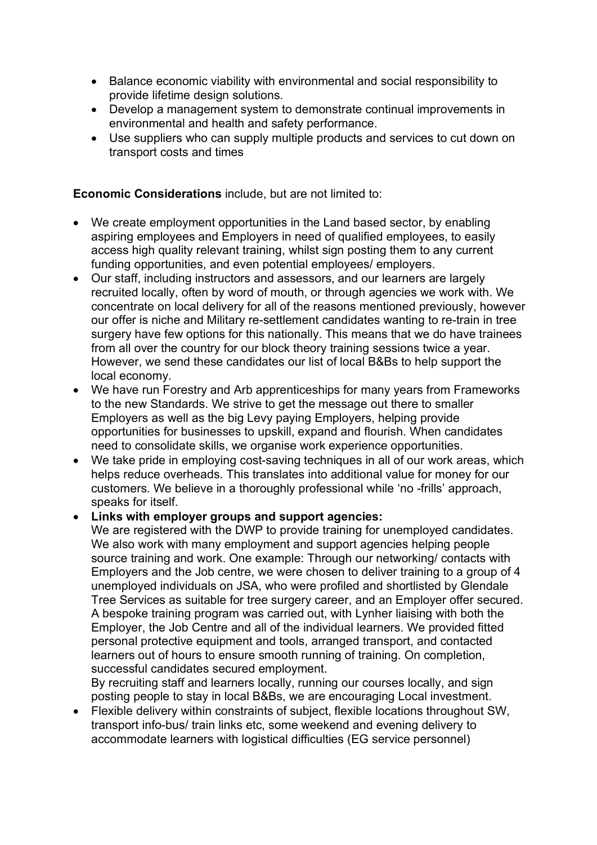- Balance economic viability with environmental and social responsibility to provide lifetime design solutions.
- Develop a management system to demonstrate continual improvements in environmental and health and safety performance.
- Use suppliers who can supply multiple products and services to cut down on transport costs and times

**Economic Considerations** include, but are not limited to:

- We create employment opportunities in the Land based sector, by enabling aspiring employees and Employers in need of qualified employees, to easily access high quality relevant training, whilst sign posting them to any current funding opportunities, and even potential employees/ employers.
- Our staff, including instructors and assessors, and our learners are largely recruited locally, often by word of mouth, or through agencies we work with. We concentrate on local delivery for all of the reasons mentioned previously, however our offer is niche and Military re-settlement candidates wanting to re-train in tree surgery have few options for this nationally. This means that we do have trainees from all over the country for our block theory training sessions twice a year. However, we send these candidates our list of local B&Bs to help support the local economy.
- We have run Forestry and Arb apprenticeships for many years from Frameworks to the new Standards. We strive to get the message out there to smaller Employers as well as the big Levy paying Employers, helping provide opportunities for businesses to upskill, expand and flourish. When candidates need to consolidate skills, we organise work experience opportunities.
- We take pride in employing cost-saving techniques in all of our work areas, which helps reduce overheads. This translates into additional value for money for our customers. We believe in a thoroughly professional while 'no -frills' approach, speaks for itself.

### • **Links with employer groups and support agencies:**

We are registered with the DWP to provide training for unemployed candidates. We also work with many employment and support agencies helping people source training and work. One example: Through our networking/ contacts with Employers and the Job centre, we were chosen to deliver training to a group of 4 unemployed individuals on JSA, who were profiled and shortlisted by Glendale Tree Services as suitable for tree surgery career, and an Employer offer secured. A bespoke training program was carried out, with Lynher liaising with both the Employer, the Job Centre and all of the individual learners. We provided fitted personal protective equipment and tools, arranged transport, and contacted learners out of hours to ensure smooth running of training. On completion, successful candidates secured employment.

By recruiting staff and learners locally, running our courses locally, and sign posting people to stay in local B&Bs, we are encouraging Local investment.

• Flexible delivery within constraints of subject, flexible locations throughout SW, transport info-bus/ train links etc, some weekend and evening delivery to accommodate learners with logistical difficulties (EG service personnel)